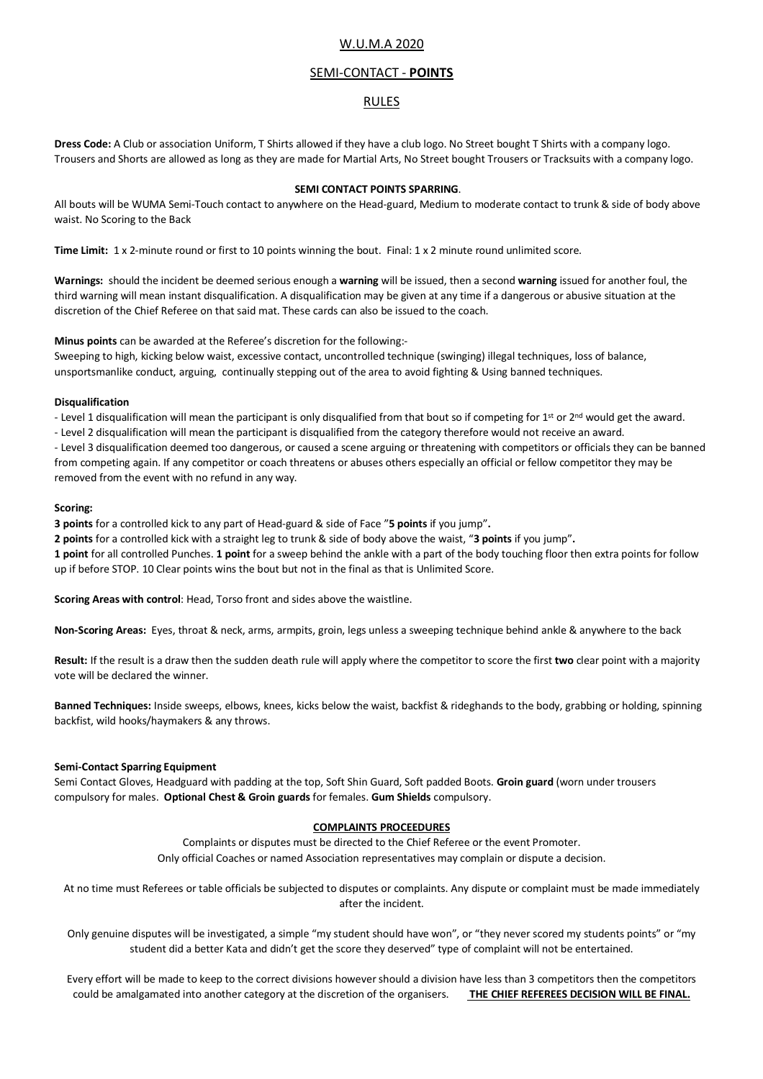# W.U.M.A 2020

# SEMI-CONTACT - **POINTS**

# RULES

**Dress Code:** A Club or association Uniform, T Shirts allowed if they have a club logo. No Street bought T Shirts with a company logo. Trousers and Shorts are allowed as long as they are made for Martial Arts, No Street bought Trousers or Tracksuits with a company logo.

#### **SEMI CONTACT POINTS SPARRING**.

All bouts will be WUMA Semi-Touch contact to anywhere on the Head-guard, Medium to moderate contact to trunk & side of body above waist. No Scoring to the Back

**Time Limit:** 1 x 2-minute round or first to 10 points winning the bout. Final: 1 x 2 minute round unlimited score.

**Warnings:** should the incident be deemed serious enough a **warning** will be issued, then a second **warning** issued for another foul, the third warning will mean instant disqualification. A disqualification may be given at any time if a dangerous or abusive situation at the discretion of the Chief Referee on that said mat. These cards can also be issued to the coach.

**Minus points** can be awarded at the Referee's discretion for the following:-

Sweeping to high, kicking below waist, excessive contact, uncontrolled technique (swinging) illegal techniques, loss of balance, unsportsmanlike conduct, arguing, continually stepping out of the area to avoid fighting & Using banned techniques.

#### **Disqualification**

- Level 1 disqualification will mean the participant is only disqualified from that bout so if competing for 1<sup>st</sup> or 2<sup>nd</sup> would get the award.

- Level 2 disqualification will mean the participant is disqualified from the category therefore would not receive an award.

- Level 3 disqualification deemed too dangerous, or caused a scene arguing or threatening with competitors or officials they can be banned from competing again. If any competitor or coach threatens or abuses others especially an official or fellow competitor they may be removed from the event with no refund in any way.

## **Scoring:**

**3 points** for a controlled kick to any part of Head-guard & side of Face "**5 points** if you jump"**.**

**2 points** for a controlled kick with a straight leg to trunk & side of body above the waist, "**3 points** if you jump"**.** 

**1 point** for all controlled Punches. **1 point** for a sweep behind the ankle with a part of the body touching floor then extra points for follow up if before STOP. 10 Clear points wins the bout but not in the final as that is Unlimited Score.

**Scoring Areas with control**: Head, Torso front and sides above the waistline.

**Non-Scoring Areas:** Eyes, throat & neck, arms, armpits, groin, legs unless a sweeping technique behind ankle & anywhere to the back

**Result:** If the result is a draw then the sudden death rule will apply where the competitor to score the first **two** clear point with a majority vote will be declared the winner.

**Banned Techniques:** Inside sweeps, elbows, knees, kicks below the waist, backfist & rideghands to the body, grabbing or holding, spinning backfist, wild hooks/haymakers & any throws.

## **Semi-Contact Sparring Equipment**

Semi Contact Gloves, Headguard with padding at the top, Soft Shin Guard, Soft padded Boots. **Groin guard** (worn under trousers compulsory for males. **Optional Chest & Groin guards** for females. **Gum Shields** compulsory.

## **COMPLAINTS PROCEEDURES**

Complaints or disputes must be directed to the Chief Referee or the event Promoter. Only official Coaches or named Association representatives may complain or dispute a decision.

At no time must Referees or table officials be subjected to disputes or complaints. Any dispute or complaint must be made immediately after the incident.

Only genuine disputes will be investigated, a simple "my student should have won", or "they never scored my students points" or "my student did a better Kata and didn't get the score they deserved" type of complaint will not be entertained.

Every effort will be made to keep to the correct divisions however should a division have less than 3 competitors then the competitors could be amalgamated into another category at the discretion of the organisers. **THE CHIEF REFEREES DECISION WILL BE FINAL.**